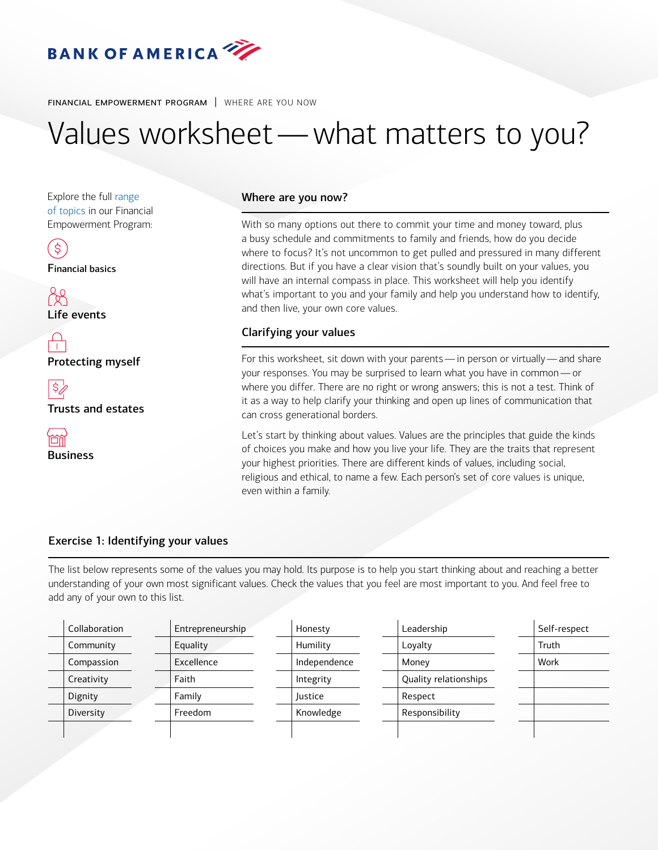

financial empowerment program | WHERE ARE YOU NOW

# Values worksheet —what matters to you?

Explore the [full range](https://www.privatebank.bankofamerica.com/publish/ustrust/feo/index.html)  [of topics](https://www.privatebank.bankofamerica.com/publish/ustrust/feo/index.html) in our Financial Empowerment Program:

\$

Financial basics

Life events

 $\bigcap\limits_{i=1}^n$ Protecting myself

\$,

[Trusts and estates](https://www.privatebank.bankofamerica.com/publish/ustrust/feo/index.html) 



# Where are you now?

With so many options out there to commit your time and money toward, plus a busy schedule and commitments to family and friends, how do you decide where to focus? It's not uncommon to get pulled and pressured in many different directions. But if you have a clear vision that's soundly built on your values, you will have an internal compass in place. This worksheet will help you identify what's important to you and your family and help you understand how to identify, and then live, your own core values.

# Clarifying your values

 For this worksheet, sit down with your parents — in person or virtually — and share your responses. You may be surprised to learn what you have in common — or where you differ. There are no right or wrong answers; this is not a test. Think of it as a way to help clarify your thinking and open up lines of communication that can cross generational borders.

Let's start by thinking about values. Values are the principles that guide the kinds of choices you make and how you live your life. They are the traits that represent your highest priorities. There are different kinds of values, including social, religious and ethical, to name a few. Each person's set of core values is unique, even within a family.

# Exercise 1: Identifying your values

The list below represents some of the values you may hold. Its purpose is to help you start thinking about and reaching a better understanding of your own most significant values. Check the values that you feel are most important to you. And feel free to add any of your own to this list.

| Collaboration | Entrepreneurship | Leadership<br>Honesty |                       | Self-respect |  |
|---------------|------------------|-----------------------|-----------------------|--------------|--|
| Community     | Equality         | Humility<br>Loyalty   |                       | Truth        |  |
| Compassion    | Excellence       | Independence<br>Money |                       | Work         |  |
| Creativity    | Faith            | Integrity             | Quality relationships |              |  |
| Dignity       | Family           | Justice               | Respect               |              |  |
| Diversity     | Freedom          | Knowledge             | Responsibility        |              |  |
|               |                  |                       |                       |              |  |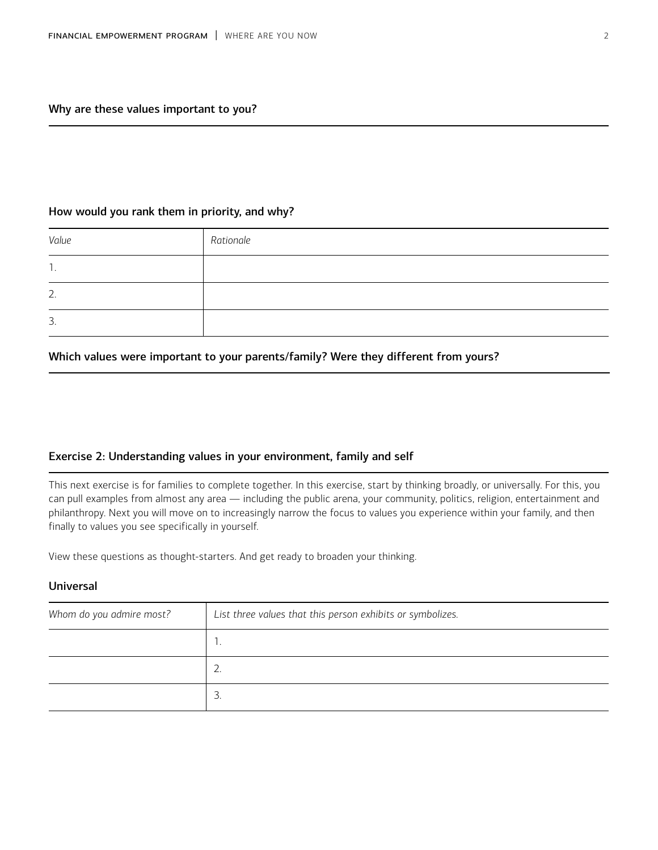# How would you rank them in priority, and why?

| Value | Rationale |
|-------|-----------|
| . .   |           |
| 2.    |           |
| 3.    |           |

# Which values were important to your parents/family? Were they different from yours?

#### Exercise 2: Understanding values in your environment, family and self

This next exercise is for families to complete together. In this exercise, start by thinking broadly, or universally. For this, you can pull examples from almost any area — including the public arena, your community, politics, religion, entertainment and philanthropy. Next you will move on to increasingly narrow the focus to values you experience within your family, and then finally to values you see specifically in yourself.

View these questions as thought-starters. And get ready to broaden your thinking.

#### Universal

| Whom do you admire most? | List three values that this person exhibits or symbolizes. |
|--------------------------|------------------------------------------------------------|
|                          |                                                            |
|                          | 2.                                                         |
|                          | 3                                                          |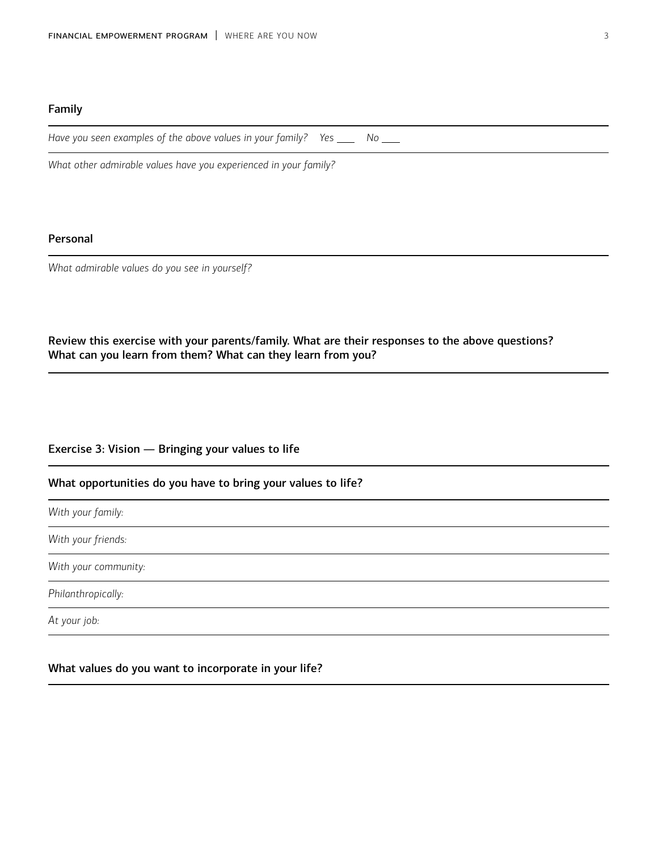## Family

|  |  |  | Have you seen examples of the above values in your family? Yes<br>и произведения в современности в современности в современности в современности в современности в современности |  |  |  |
|--|--|--|----------------------------------------------------------------------------------------------------------------------------------------------------------------------------------|--|--|--|
|--|--|--|----------------------------------------------------------------------------------------------------------------------------------------------------------------------------------|--|--|--|

*What other admirable values have you experienced in your family?* 

# Personal

*What admirable values do you see in yourself?* 

# Review this exercise with your parents/family. What are their responses to the above questions? What can you learn from them? What can they learn from you?

## Exercise 3: Vision — Bringing your values to life

## What opportunities do you have to bring your values to life?

*With your family:* 

*With your friends:* 

*With your community:* 

*Philanthropically:* 

*At your job:* 

## What values do you want to incorporate in your life?